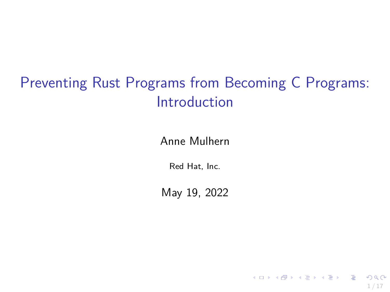# Preventing Rust Programs from Becoming C Programs: Introduction

Anne Mulhern

Red Hat, Inc.

May 19, 2022

1 / 17

 $\Omega$ 

メロトメ 御 トメ 差 トメ 差 トー 差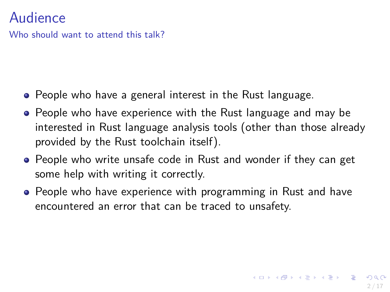#### Audience

Who should want to attend this talk?

- People who have a general interest in the Rust language.
- People who have experience with the Rust language and may be interested in Rust language analysis tools (other than those already provided by the Rust toolchain itself).
- People who write unsafe code in Rust and wonder if they can get some help with writing it correctly.
- People who have experience with programming in Rust and have encountered an error that can be traced to unsafety.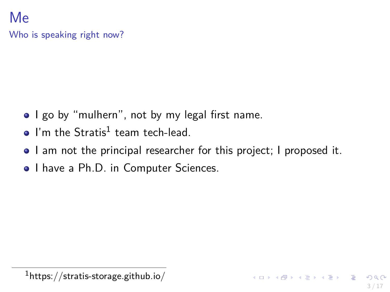#### Me Who is speaking right now?

- I go by "mulhern", not by my legal first name.
- I'm the  $Stratis<sup>1</sup>$  team tech-lead.
- I am not the principal researcher for this project; I proposed it.
- I have a Ph.D. in Computer Sciences.

 $1$ https://stratis-storage.github.io/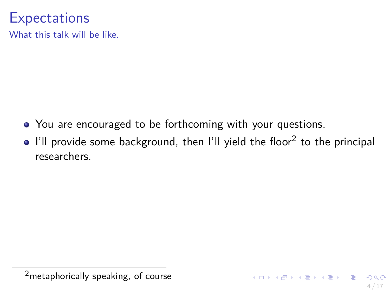## **Expectations**

What this talk will be like.

- You are encouraged to be forthcoming with your questions.
- I'll provide some background, then I'll yield the floor $^2$  to the principal researchers.

<sup>&</sup>lt;sup>2</sup> metaphorically speaking, of course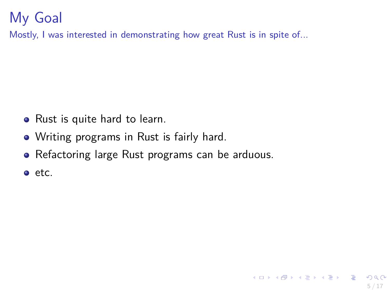# My Goal

Mostly, I was interested in demonstrating how great Rust is in spite of...

- Rust is quite hard to learn.
- Writing programs in Rust is fairly hard.
- Refactoring large Rust programs can be arduous.

5 / 17

K ロ ▶ K 個 ▶ K 글 ▶ K 글 ▶ │ 글 │ ◆) Q (◇

 $e$  etc.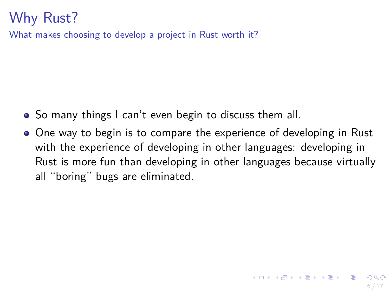## Why Rust?

What makes choosing to develop a project in Rust worth it?

- So many things I can't even begin to discuss them all.
- One way to begin is to compare the experience of developing in Rust with the experience of developing in other languages: developing in Rust is more fun than developing in other languages because virtually all "boring" bugs are eliminated.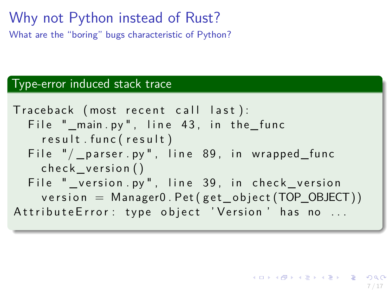#### Why not Python instead of Rust? What are the "boring" bugs characteristic of Python?

#### Type-error induced stack trace

T race back ( most r e c e n t c a l l l a s t ) : F i l e "\_main . py " , l i n e 4 3 , i n t h e\_ f u n c r e s u l t . f u n c ( r e s u l t ) F i l e "/ \_ p a r s e r . py " , l i n e 8 9 , i n w rapped\_ func c h e c k \_ v e r s i o n ( ) F i l e " \_ v e r s i o n . py " , l i n e 3 9 , i n c h e c k \_ v e r s i o n v e r s i o n = Manager0 . Pet ( g e t \_ o b j e c t (TOP\_OBJECT) ) A t t r i b u t e E r r o r : t y p e o b j e c t ' V e r s i o n ' ha s no . . .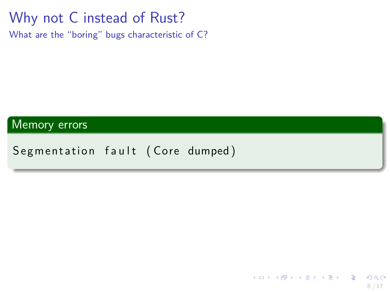# Why not C instead of Rust?

What are the "boring" bugs characteristic of C?

Memory errors

Segmentation fault (Core dumped)

メロトメ 御 トメ 差 トメ 差 トー 差  $209$ 8 / 17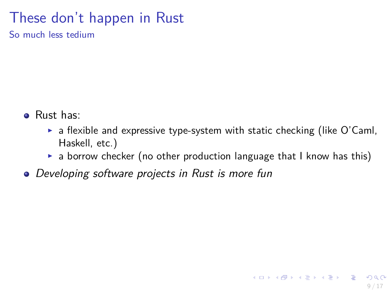#### These don't happen in Rust

So much less tedium

- Rust has:
	- $\triangleright$  a flexible and expressive type-system with static checking (like O'Caml, Haskell, etc.)
	- $\triangleright$  a borrow checker (no other production language that I know has this)

9 / 17

メロトメ 御 トメ 差 トメ 差 トー 差

**•** Developing software projects in Rust is more fun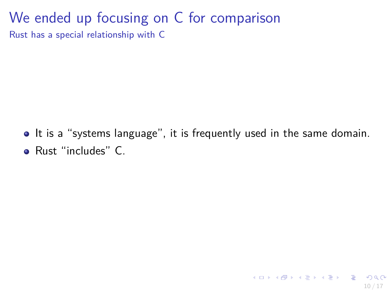## We ended up focusing on C for comparison

Rust has a special relationship with C

• It is a "systems language", it is frequently used in the same domain. Rust "includes" C.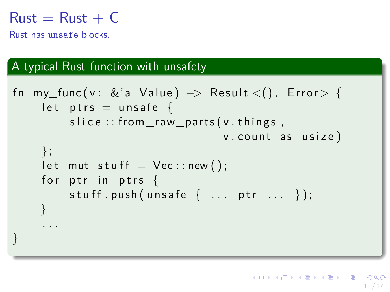#### $Rust = Rust + C$

Rust has unsafe blocks.

#### A typical Rust function with unsafety

```
fn my_func(v: &'a Value) \rightarrow Result <(), Error > {
     let ptrs = unsafe {
          slice :: from raw parts (v. things,
                                    v. count as usize)
     \} ;
     let mut stuff = Vec::new();
     for ptr in ptrs \{stuff . push (unsafe \{ \ldots ptr \ldots });
     }
     . . .
}
```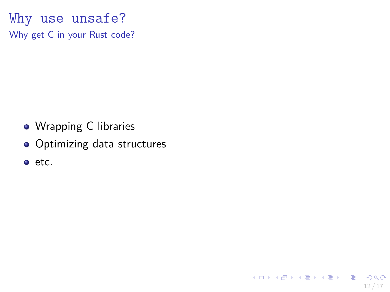Why use unsafe? Why get C in your Rust code?

- Wrapping C libraries
- Optimizing data structures

12 / 17

K ロ ▶ K 個 ▶ K 글 ▶ K 글 ▶ │ 글 │ ◆) Q ( º

o etc.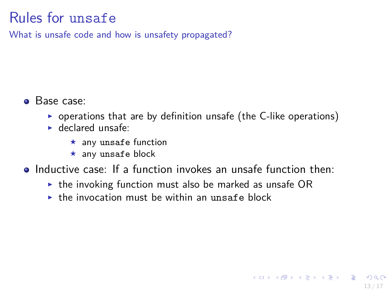## Rules for unsafe

What is unsafe code and how is unsafety propagated?

- **•** Base case:
	- $\triangleright$  operations that are by definition unsafe (the C-like operations)
	- $\blacktriangleright$  declared unsafe:
		- $\star$  any unsafe function
		- $\star$  any unsafe block
- **•** Inductive case: If a function invokes an unsafe function then:
	- $\triangleright$  the invoking function must also be marked as unsafe OR
	- $\triangleright$  the invocation must be within an unsafe block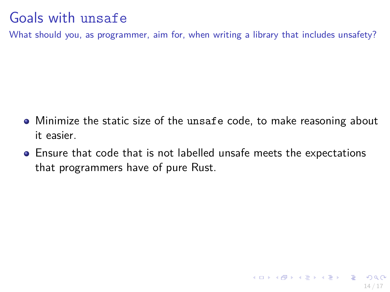## Goals with unsafe

What should you, as programmer, aim for, when writing a library that includes unsafety?

- Minimize the static size of the unsafe code, to make reasoning about it easier.
- Ensure that code that is not labelled unsafe meets the expectations that programmers have of pure Rust.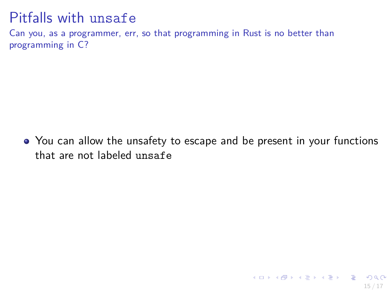#### Pitfalls with unsafe

Can you, as a programmer, err, so that programming in Rust is no better than programming in C?

• You can allow the unsafety to escape and be present in your functions that are not labeled unsafe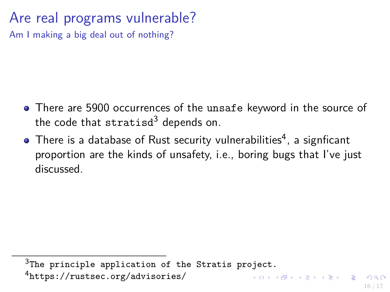# Are real programs vulnerable?

Am I making a big deal out of nothing?

- There are 5900 occurrences of the unsafe keyword in the source of the code that stratisd<sup>3</sup> depends on.
- There is a database of Rust security vulnerabilities $\rm ^4$ , a signficant proportion are the kinds of unsafety, i.e., boring bugs that I've just discussed.

<sup>3</sup>The principle application of the Stratis project.

<sup>4</sup><https://rustsec.org/advisories/>